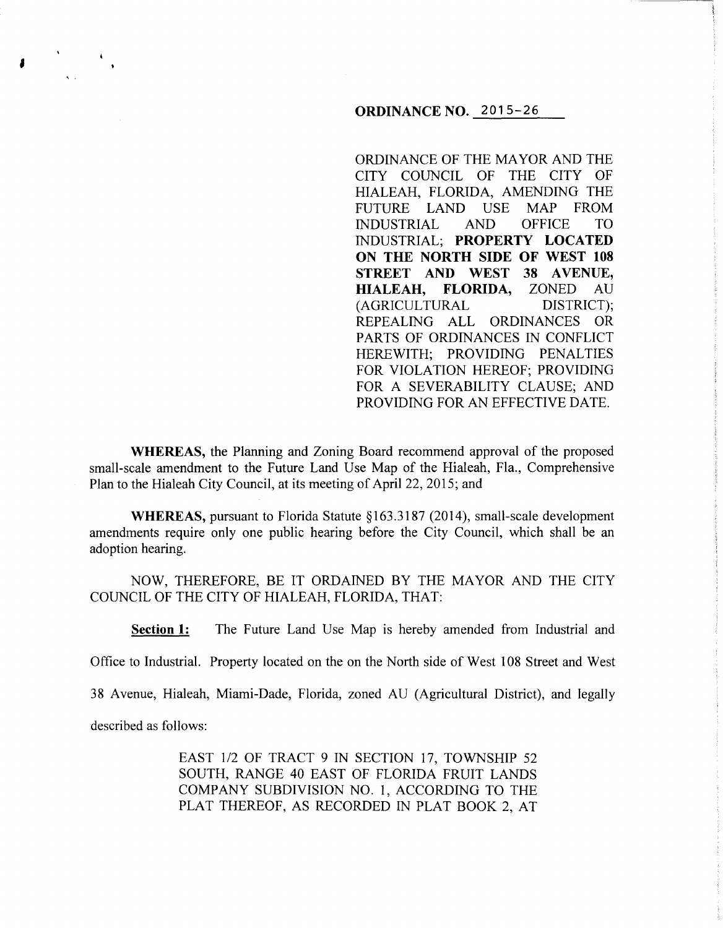## **ORDINANCE NO.** 2015-26

ORDINANCE OF THE MAYOR AND THE CITY COUNCIL OF THE CITY OF HIALEAH, FLORIDA, AMENDING THE FUTURE LAND USE MAP FROM<br>INDUSTRIAL AND OFFICE TO INDUSTRIAL AND OFFICE TO INDUSTRIAL; **PROPERTY LOCATED ON THE NORTH SIDE OF WEST 108 STREET AND WEST 38 AVENUE, HIALEAH, FLORIDA,** ZONED AU (AGRICULTURAL DISTRICT); REPEALING ALL ORDINANCES OR PARTS OF ORDINANCES IN CONFLICT HEREWITH: PROVIDING PENALTIES FOR VIOLATION HEREOF; PROVIDING FOR A SEVERABILITY CLAUSE; AND PROVIDING FOR AN EFFECTIVE DATE.

**WHEREAS,** the Planning and Zoning Board recommend approval of the proposed small-scale amendment to the Future Land Use Map of the Hialeah, Fla., Comprehensive Plan to the Hialeah City Council, at its meeting of April22, 2015; and

**WHEREAS, pursuant to Florida Statute §163.3187 (2014), small-scale development** amendments require only one public hearing before the City Council, which shall be an adoption hearing.

NOW, THEREFORE, BE IT ORDAINED BY THE MAYOR AND THE CITY COUNCIL OF THE CITY OF HIALEAH, FLORIDA, THAT:

**Section 1:** The Future Land Use Map is hereby amended from Industrial and

Office to Industrial. Property located on the on the North side of West 108 Street and West

38 Avenue, Hialeah, Miami-Dade, Florida, zoned AU (Agricultural District), and legally

described as follows:

'

EAST 1/2 OF TRACT 9 IN SECTION 17, TOWNSHIP 52 SOUTH, RANGE 40 EAST OF FLORIDA FRUIT LANDS COMPANY SUBDIVISION NO. 1, ACCORDING TO THE PLAT THEREOF, AS RECORDED IN PLAT BOOK 2, AT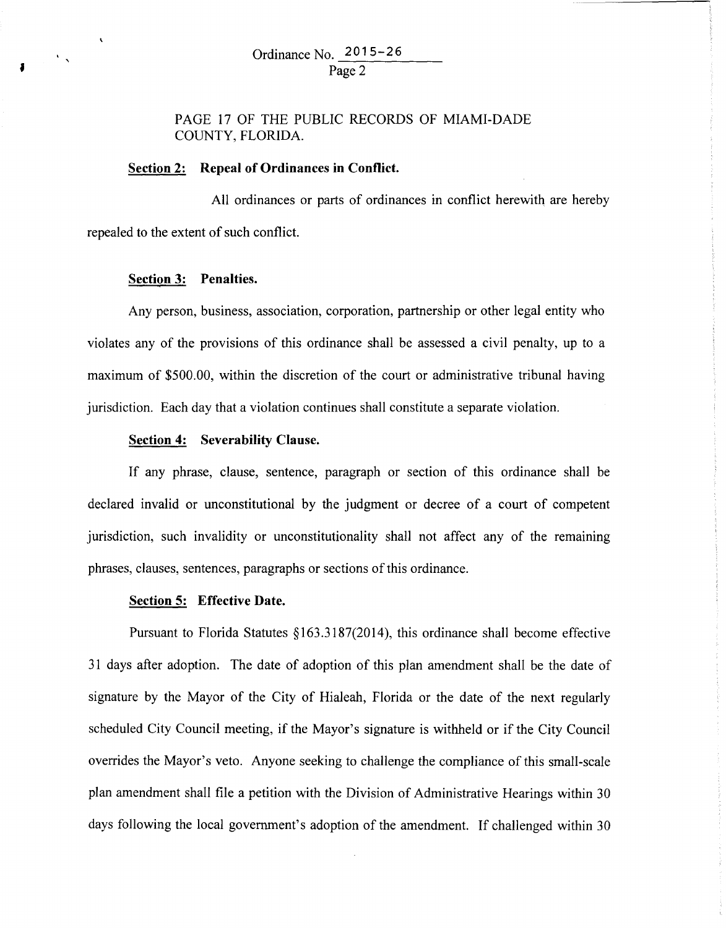PAGE 17 OF THE PUBLIC RECORDS OF MIAMI-DADE COUNTY, FLORIDA.

# **Section 2: Repeal of Ordinances in Conflict.**

All ordinances or parts of ordinances in conflict herewith are hereby repealed to the extent of such conflict.

#### **Section 3: Penalties.**

 $\int_0^1 \frac{dx}{dx} dx$ 

Any person, business, association, corporation, partnership or other legal entity who violates any of the provisions of this ordinance shall be assessed a civil penalty, up to a maximum of \$500.00, within the discretion of the court or administrative tribunal having jurisdiction. Each day that a violation continues shall constitute a separate violation.

#### **Section 4: Severability Clause.**

If any phrase, clause, sentence, paragraph or section of this ordinance shall be declared invalid or unconstitutional by the judgment or decree of a court of competent jurisdiction, such invalidity or unconstitutionality shall not affect any of the remaining phrases, clauses, sentences, paragraphs or sections of this ordinance.

### **Section 5: Effective Date.**

Pursuant to Florida Statutes §163.3187(2014), this ordinance shall become effective 31 days after adoption. The date of adoption of this plan amendment shall be the date of signature by the Mayor of the City of Hialeah, Florida or the date of the next regularly scheduled City Council meeting, if the Mayor's signature is withheld or if the City Council overrides the Mayor's veto. Anyone seeking to challenge the compliance of this small-scale plan amendment shall file a petition with the Division of Administrative Hearings within 30 days following the local government's adoption of the amendment. If challenged within 30